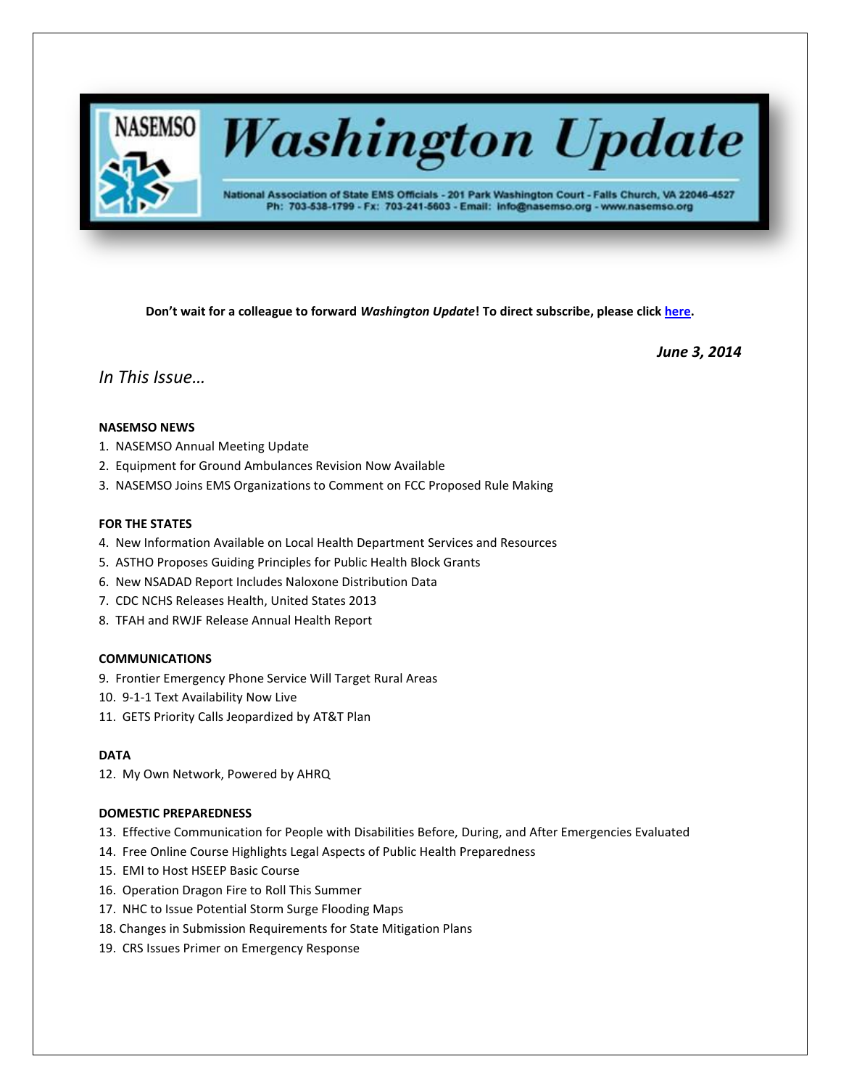

# **Washington Update**

National Association of State EMS Officials - 201 Park Washington Court - Falls Church, VA 22046-4527 Ph: 703-538-1799 - Fx: 703-241-5603 - Email: info@nasemso.org - www.nasemso.org

**Don't wait for a colleague to forward** *Washington Update***! To direct subscribe, please click [here.](http://lists.nasemso.org/read/all_forums/subscribe?name=wu%20)**

*June 3, 2014*

*In This Issue…*

# **NASEMSO NEWS**

- 1. NASEMSO Annual Meeting Update
- 2. Equipment for Ground Ambulances Revision Now Available
- 3. NASEMSO Joins EMS Organizations to Comment on FCC Proposed Rule Making

## **FOR THE STATES**

- 4. New Information Available on Local Health Department Services and Resources
- 5. ASTHO Proposes Guiding Principles for Public Health Block Grants
- 6. New NSADAD Report Includes Naloxone Distribution Data
- 7. CDC NCHS Releases Health, United States 2013
- 8. TFAH and RWJF Release Annual Health Report

## **COMMUNICATIONS**

- 9. Frontier Emergency Phone Service Will Target Rural Areas
- 10. 9-1-1 Text Availability Now Live
- 11. GETS Priority Calls Jeopardized by AT&T Plan

## **DATA**

12. My Own Network, Powered by AHRQ

## **DOMESTIC PREPAREDNESS**

- 13. Effective Communication for People with Disabilities Before, During, and After Emergencies Evaluated
- 14. Free Online Course Highlights Legal Aspects of Public Health Preparedness
- 15. EMI to Host HSEEP Basic Course
- 16. Operation Dragon Fire to Roll This Summer
- 17. NHC to Issue Potential Storm Surge Flooding Maps
- 18. Changes in Submission Requirements for State Mitigation Plans
- 19. CRS Issues Primer on Emergency Response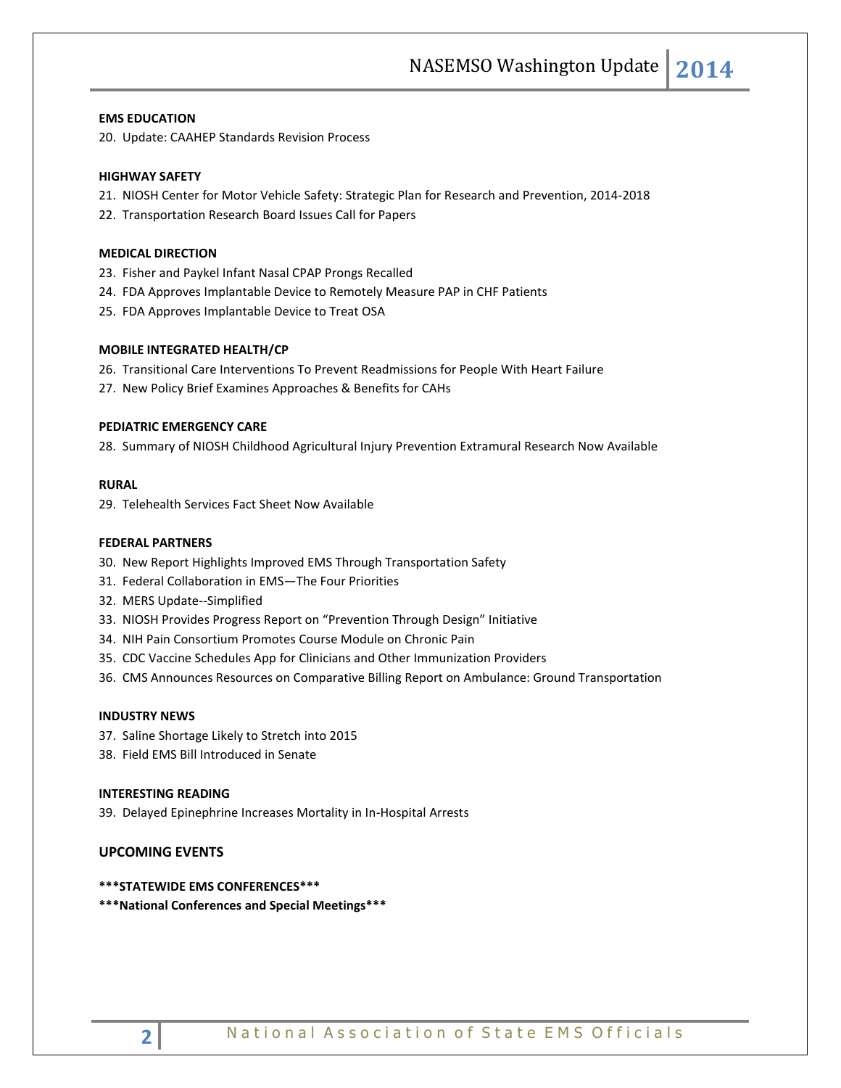#### **EMS EDUCATION**

20. Update: CAAHEP Standards Revision Process

#### **HIGHWAY SAFETY**

- 21. NIOSH Center for Motor Vehicle Safety: Strategic Plan for Research and Prevention, 2014-2018
- 22. Transportation Research Board Issues Call for Papers

#### **MEDICAL DIRECTION**

- 23. Fisher and Paykel Infant Nasal CPAP Prongs Recalled
- 24. FDA Approves Implantable Device to Remotely Measure PAP in CHF Patients
- 25. FDA Approves Implantable Device to Treat OSA

#### **MOBILE INTEGRATED HEALTH/CP**

- 26. Transitional Care Interventions To Prevent Readmissions for People With Heart Failure
- 27. New Policy Brief Examines Approaches & Benefits for CAHs

#### **PEDIATRIC EMERGENCY CARE**

28. Summary of NIOSH Childhood Agricultural Injury Prevention Extramural Research Now Available

#### **RURAL**

29. Telehealth Services Fact Sheet Now Available

## **FEDERAL PARTNERS**

- 30. New Report Highlights Improved EMS Through Transportation Safety
- 31. Federal Collaboration in EMS—The Four Priorities
- 32. MERS Update--Simplified
- 33. NIOSH Provides Progress Report on "Prevention Through Design" Initiative
- 34. NIH Pain Consortium Promotes Course Module on Chronic Pain
- 35. CDC Vaccine Schedules App for Clinicians and Other Immunization Providers
- 36. CMS Announces Resources on Comparative Billing Report on Ambulance: Ground Transportation

#### **INDUSTRY NEWS**

- 37. Saline Shortage Likely to Stretch into 2015
- 38. Field EMS Bill Introduced in Senate

#### **INTERESTING READING**

39. Delayed Epinephrine Increases Mortality in In-Hospital Arrests

# **UPCOMING EVENTS**

#### **\*\*\*STATEWIDE EMS CONFERENCES\*\*\***

**\*\*\*National Conferences and Special Meetings\*\*\***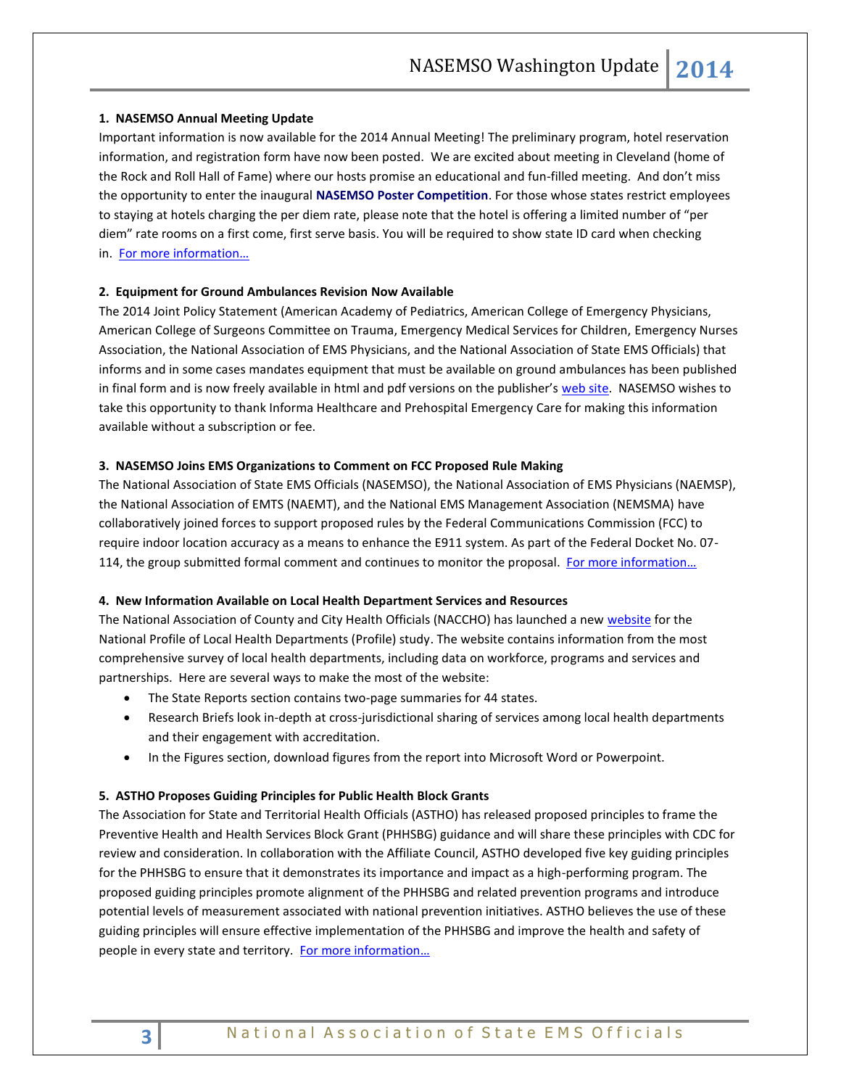## **1. NASEMSO Annual Meeting Update**

Important information is now available for the 2014 Annual Meeting! The preliminary program, hotel reservation information, and registration form have now been posted. We are excited about meeting in Cleveland (home of the Rock and Roll Hall of Fame) where our hosts promise an educational and fun-filled meeting. And don't miss the opportunity to enter the inaugural **NASEMSO Poster Competition**. For those whose states restrict employees to staying at hotels charging the per diem rate, please note that the hotel is offering a limited number of "per diem" rate rooms on a first come, first serve basis. You will be required to show state ID card when checking in. [For more information…](http://www.nasemso.org/Meetings/Annual/AnnualMeeting2014.asp)

# **2. Equipment for Ground Ambulances Revision Now Available**

The 2014 Joint Policy Statement (American Academy of Pediatrics, American College of Emergency Physicians, American College of Surgeons Committee on Trauma, Emergency Medical Services for Children, Emergency Nurses Association, the National Association of EMS Physicians, and the National Association of State EMS Officials) that informs and in some cases mandates equipment that must be available on ground ambulances has been published in final form and is now freely available in html and pdf versions on the publisher's [web site.](http://informahealthcare.com/doi/full/10.3109/10903127.2013.851312) NASEMSO wishes to take this opportunity to thank Informa Healthcare and Prehospital Emergency Care for making this information available without a subscription or fee.

#### **3. NASEMSO Joins EMS Organizations to Comment on FCC Proposed Rule Making**

The National Association of State EMS Officials (NASEMSO), the National Association of EMS Physicians (NAEMSP), the National Association of EMTS (NAEMT), and the National EMS Management Association (NEMSMA) have collaboratively joined forces to support proposed rules by the Federal Communications Commission (FCC) to require indoor location accuracy as a means to enhance the E911 system. As part of the Federal Docket No. 07- 114, the group submitted formal comment and continues to monitor the proposal. [For more information…](http://www.nasemso.org/Advocacy/Supported/documents/JointCommentsLocationAccuracyNASEMSO-NAEMT-NAEMSP-NEMSMA.pdf)

#### **4. New Information Available on Local Health Department Services and Resources**

The National Association of County and City Health Officials (NACCHO) has launched a new [website](http://www.nacchoprofilestudy.org/) for the National Profile of Local Health Departments (Profile) study. The website contains information from the most comprehensive survey of local health departments, including data on workforce, programs and services and partnerships. Here are several ways to make the most of the website:

- The State Reports section contains two-page summaries for 44 states.
- Research Briefs look in-depth at cross-jurisdictional sharing of services among local health departments and their engagement with accreditation.
- In the Figures section, download figures from the report into Microsoft Word or Powerpoint.

#### **5. ASTHO Proposes Guiding Principles for Public Health Block Grants**

The Association for State and Territorial Health Officials (ASTHO) has released proposed principles to frame the Preventive Health and Health Services Block Grant (PHHSBG) guidance and will share these principles with CDC for review and consideration. In collaboration with the Affiliate Council, ASTHO developed five key guiding principles for the PHHSBG to ensure that it demonstrates its importance and impact as a high-performing program. The proposed guiding principles promote alignment of the PHHSBG and related prevention programs and introduce potential levels of measurement associated with national prevention initiatives. ASTHO believes the use of these guiding principles will ensure effective implementation of the PHHSBG and improve the health and safety of people in every state and territory. [For more information…](http://www.astho.org/Prevention/PHHSBG-Guiding-Principles/)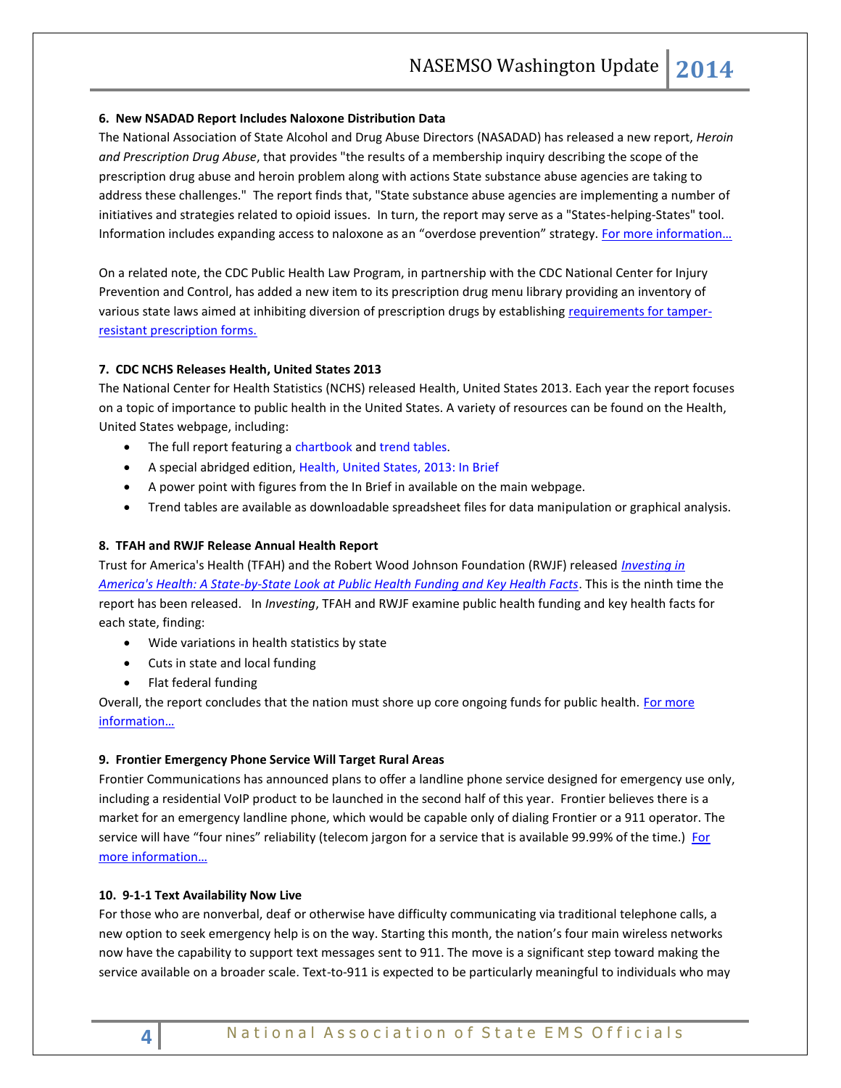## **6. New NSADAD Report Includes Naloxone Distribution Data**

The National Association of State Alcohol and Drug Abuse Directors (NASADAD) has released a new report, *Heroin and Prescription Drug Abuse*, that provides "the results of a membership inquiry describing the scope of the prescription drug abuse and heroin problem along with actions State substance abuse agencies are taking to address these challenges." The report finds that, "State substance abuse agencies are implementing a number of initiatives and strategies related to opioid issues. In turn, the report may serve as a "States-helping-States" tool. Information includes expanding access to naloxone as an "overdose prevention" strategy. For more information...

On a related note, the CDC Public Health Law Program, in partnership with the CDC National Center for Injury Prevention and Control, has added a new item to its prescription drug menu library providing an inventory of various state laws aimed at inhibiting diversion of prescription drugs by establishing [requirements for tamper](http://www.cdc.gov/phlp/docs/menu-prescriptionform.pdf)[resistant prescription forms.](http://www.cdc.gov/phlp/docs/menu-prescriptionform.pdf)

# **7. CDC NCHS Releases Health, United States 2013**

Th[e National Center for Health Statistics](http://www.mmsend47.com/link.cfm?r=235034241&sid=40183623&m=4432728&u=NACCHO&j=18735940&s=http://www.cdc.gov/nchs/) (NCHS) released [Health, United States 2013.](http://www.mmsend47.com/link.cfm?r=235034241&sid=40183624&m=4432728&u=NACCHO&j=18735940&s=http://www.cdc.gov/nchs/hus.htm) Each year the report focuses on a topic of importance to public health in the United States. A variety of resources can be found on the Health, United States webpage, including:

- The full report featuring a [chartbook](http://www.cdc.gov/nchs/data/hus/hus13.pdf#listfigures) an[d trend tables.](http://www.cdc.gov/nchs/data/hus/hus13.pdf#listtables)
- A special abridged edition, [Health, United States, 2013: In Brief](http://www.cdc.gov/nchs/data/hus/hus13_InBrief.pdf)
- A power point with figures from the In Brief in available on the main webpage.
- Trend tables are available as downloadable spreadsheet files for data manipulation or graphical analysis.

# **8. TFAH and RWJF Release Annual Health Report**

Trust for America's Health (TFAH) and the Robert Wood Johnson Foundation (RWJF) released *[Investing in](http://healthyamericans.org/assets/files/TFAH2014-InvestInAmericaRpt08.pdf)  [America's Health: A State-by-State Look at Public Health Funding and Key Health Facts](http://healthyamericans.org/assets/files/TFAH2014-InvestInAmericaRpt08.pdf)*. This is the ninth time the report has been released. In *Investing*, TFAH and RWJF examine public health funding and key health facts for each state, finding:

- Wide variations in health statistics by state
- Cuts in state and local funding
- Flat federal funding

Overall, the report concludes that the nation must shore up core ongoing funds for public health. For more [information…](http://healthyamericans.org/report/114/)

## **9. Frontier Emergency Phone Service Will Target Rural Areas**

Frontier Communications has announced plans to offer a landline phone service designed for emergency use only, including a residential VoIP product to be launched in the second half of this year. Frontier believes there is a market for an emergency landline phone, which would be capable only of dialing Frontier or a 911 operator. The service will have "four nines" reliability (telecom jargon for a service that is available 99.99% of the time.) For [more information…](http://www.telecompetitor.com/ceo-frontier-emergency-phone-service-will-target-rural-areas-voip-on-tap-too/)

## **10. 9-1-1 Text Availability Now Live**

For those who are nonverbal, deaf or otherwise have difficulty communicating via traditional telephone calls, a new option to seek emergency help is on the way. Starting this month, the nation's four main wireless networks now have the capability to support text messages sent to 911. The move is a significant step toward making the service available on a broader scale. Text-to-911 is expected to be particularly meaningful to individuals who may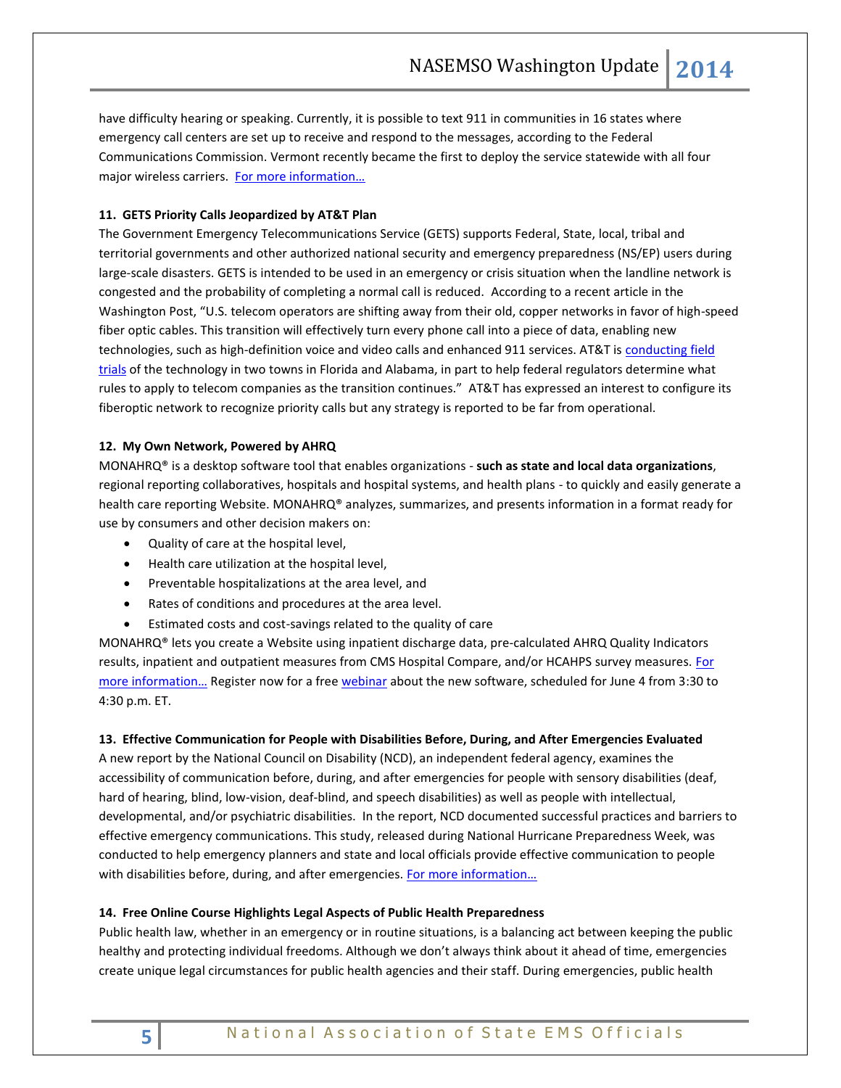have difficulty hearing or speaking. Currently, it is possible to text 911 in communities in 16 states where emergency call centers are set up to receive and respond to the messages, according to the Federal Communications Commission. Vermont recently became the first to deploy the service statewide with all four major wireless carriers. For more information...

# **11. GETS Priority Calls Jeopardized by AT&T Plan**

The Government Emergency Telecommunications Service (GETS) supports Federal, State, local, tribal and territorial governments and other authorized national security and emergency preparedness (NS/EP) users during large-scale disasters. GETS is intended to be used in an emergency or crisis situation when the landline network is congested and the probability of completing a normal call is reduced. According to a recent article in the Washington Post, "U.S. telecom operators are shifting away from their old, copper networks in favor of high-speed fiber optic cables. This transition will effectively turn every phone call into a piece of data, enabling new technologies, such as high-definition voice and video calls and enhanced 911 services. AT&T is [conducting field](http://www.washingtonpost.com/blogs/the-switch/wp/2014/02/28/att-is-testing-its-next-gen-phone-network-on-rural-areas-and-older-people/)  [trials](http://www.washingtonpost.com/blogs/the-switch/wp/2014/02/28/att-is-testing-its-next-gen-phone-network-on-rural-areas-and-older-people/) of the technology in two towns in Florida and Alabama, in part to help federal regulators determine what rules to apply to telecom companies as the transition continues." AT&T has expressed an interest to configure its fiberoptic network to recognize priority calls but any strategy is reported to be far from operational.

## **12. My Own Network, Powered by AHRQ**

MONAHRQ® is a desktop software tool that enables organizations - **such as state and local data organizations**, regional reporting collaboratives, hospitals and hospital systems, and health plans - to quickly and easily generate a health care reporting Website. MONAHRQ® analyzes, summarizes, and presents information in a format ready for use by consumers and other decision makers on:

- Quality of care at the hospital level,
- Health care utilization at the hospital level,
- Preventable hospitalizations at the area level, and
- Rates of conditions and procedures at the area level.
- Estimated costs and cost-savings related to the quality of care

MONAHRQ® lets you create a Website using inpatient discharge data, pre-calculated AHRQ Quality Indicators results, inpatient and outpatient measures from CMS Hospital Compare, and/or HCAHPS survey measures. For [more information…](http://monahrq.ahrq.gov/) [Register](http://links.govdelivery.com/track?type=click&enid=ZWFzPTEmbWFpbGluZ2lkPTIwMTQwNTI5LjMyNjA5MTExJm1lc3NhZ2VpZD1NREItUFJELUJVTC0yMDE0MDUyOS4zMjYwOTExMSZkYXRhYmFzZWlkPTEwMDEmc2VyaWFsPTE2ODg3MTI5JmVtYWlsaWQ9cm9iaW5zb25AbmFzZW1zby5vcmcmdXNlcmlkPXJvYmluc29uQG5hc2Vtc28ub3JnJmZsPSZleHRyYT1NdWx0aXZhcmlhdGVJZD0mJiY=&&&102&&&http://goo.gl/iGVwp8) now for a fre[e webinar](https://air-license.webex.com/mw0307l/mywebex/default.do?nomenu=true&siteurl=air-license&service=6&rnd=0.20680805574493943&main_url) about the new software, scheduled for June 4 from 3:30 to 4:30 p.m. ET.

## **13. Effective Communication for People with Disabilities Before, During, and After Emergencies Evaluated**

A new report by the National Council on Disability (NCD), an independent federal agency, examines the accessibility of communication before, during, and after emergencies for people with sensory disabilities (deaf, hard of hearing, blind, low-vision, deaf-blind, and speech disabilities) as well as people with intellectual, developmental, and/or psychiatric disabilities. In the report, NCD documented successful practices and barriers to effective emergency communications. This study, released during National Hurricane Preparedness Week, was conducted to help emergency planners and state and local officials provide effective communication to people with disabilities before, during, and after emergencies. For more information...

## **14. Free Online Course Highlights Legal Aspects of Public Health Preparedness**

Public health law, whether in an emergency or in routine situations, is a balancing act between keeping the public healthy and protecting individual freedoms. Although we don't always think about it ahead of time, emergencies create unique legal circumstances for public health agencies and their staff. During emergencies, public health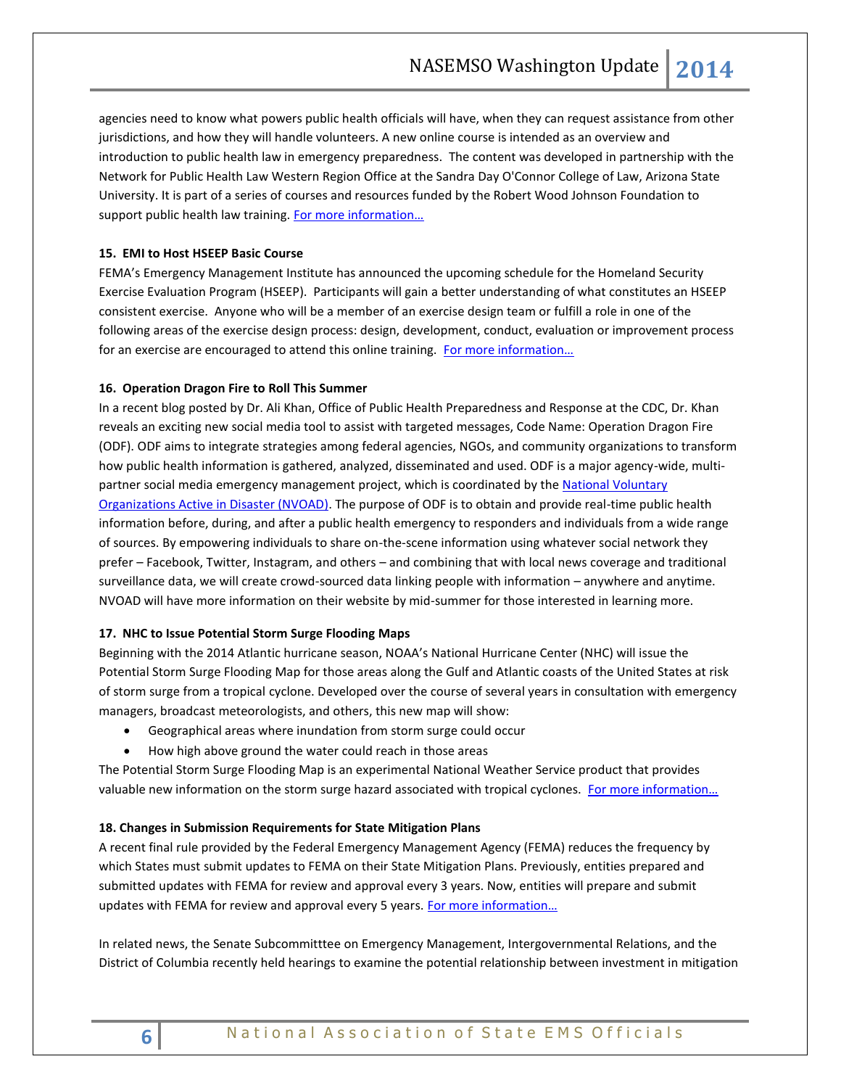agencies need to know what powers public health officials will have, when they can request assistance from other jurisdictions, and how they will handle volunteers. A new online course is intended as an overview and introduction to public health law in emergency preparedness. The content was developed in partnership with the Network for Public Health Law Western Region Office at the Sandra Day O'Connor College of Law, Arizona State University. It is part of a series of courses and resources funded by the Robert Wood Johnson Foundation to support public health law training. For more information...

## **15. EMI to Host HSEEP Basic Course**

FEMA's Emergency Management Institute has announced the upcoming schedule for the Homeland Security Exercise Evaluation Program (HSEEP). Participants will gain a better understanding of what constitutes an HSEEP consistent exercise. Anyone who will be a member of an exercise design team or fulfill a role in one of the following areas of the exercise design process: design, development, conduct, evaluation or improvement process for an exercise are encouraged to attend this online training. [For more information…](http://training.fema.gov/EMIGrams/2014/1066%20-%20Training%20Opportunity%20-%20K0146%20HSEEP%20FY15%20-%20June%202%202014.pdf)

## **16. Operation Dragon Fire to Roll This Summer**

In a recent blog posted by Dr. Ali Khan, Office of Public Health Preparedness and Response at the CDC, Dr. Khan reveals an exciting new social media tool to assist with targeted messages, Code Name: Operation Dragon Fire (ODF). ODF aims to integrate strategies among federal agencies, NGOs, and community organizations to transform how public health information is gathered, analyzed, disseminated and used. ODF is a major agency-wide, multipartner social media emergency management project, which is coordinated by th[e National Voluntary](http://www.nvoad.org/)  [Organizations Active in Disaster \(NVOAD\).](http://www.nvoad.org/) The purpose of ODF is to obtain and provide real-time public health information before, during, and after a public health emergency to responders and individuals from a wide range of sources. By empowering individuals to share on-the-scene information using whatever social network they prefer – Facebook, Twitter, Instagram, and others – and combining that with local news coverage and traditional surveillance data, we will create crowd-sourced data linking people with information – anywhere and anytime. NVOAD will have more information on their website by mid-summer for those interested in learning more.

## **17. NHC to Issue Potential Storm Surge Flooding Maps**

Beginning with the 2014 Atlantic hurricane season, NOAA's National Hurricane Center (NHC) will issue the Potential Storm Surge Flooding Map for those areas along the Gulf and Atlantic coasts of the United States at risk of storm surge from a tropical cyclone. Developed over the course of several years in consultation with emergency managers, broadcast meteorologists, and others, this new map will show:

- Geographical areas where inundation from storm surge could occur
- How high above ground the water could reach in those areas

The Potential Storm Surge Flooding Map is an experimental National Weather Service product that provides valuable new information on the storm surge hazard associated with tropical cyclones. For more information...

## **18. Changes in Submission Requirements for State Mitigation Plans**

A recent final rule provided by the Federal Emergency Management Agency (FEMA) reduces the frequency by which States must submit updates to FEMA on their State Mitigation Plans. Previously, entities prepared and submitted updates with FEMA for review and approval every 3 years. Now, entities will prepare and submit updates with FEMA for review and approval every 5 years. For more information...

In related news, the Senate Subcommitttee on Emergency Management, Intergovernmental Relations, and the District of Columbia recently held hearings to examine the potential relationship between investment in mitigation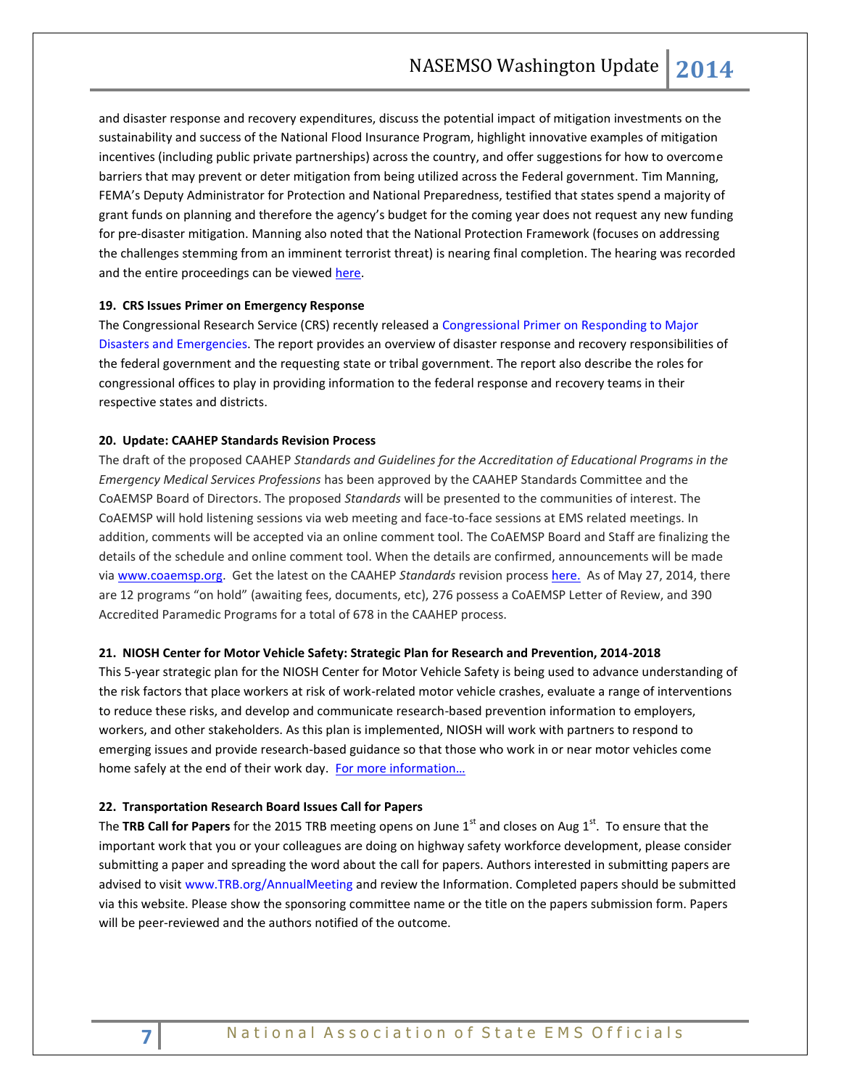and disaster response and recovery expenditures, discuss the potential impact of mitigation investments on the sustainability and success of the National Flood Insurance Program, highlight innovative examples of mitigation incentives (including public private partnerships) across the country, and offer suggestions for how to overcome barriers that may prevent or deter mitigation from being utilized across the Federal government. Tim Manning, FEMA's Deputy Administrator for Protection and National Preparedness, testified that states spend a majority of grant funds on planning and therefore the agency's budget for the coming year does not request any new funding for pre-disaster mitigation. Manning also noted that the National Protection Framework (focuses on addressing the challenges stemming from an imminent terrorist threat) is nearing final completion. The hearing was recorded and the entire proceedings can be viewed [here.](http://www.hsgac.senate.gov/subcommittees/emdc/hearings/the-role-of-mitigation-in-reducing-federal-expenditures-for-disaster-response)

## **19. CRS Issues Primer on Emergency Response**

The Congressional Research Service (CRS) recently released a [Congressional Primer on Responding to Major](http://www.fas.org/sgp/crs/homesec/R41981.pdf)  [Disasters and Emergencies.](http://www.fas.org/sgp/crs/homesec/R41981.pdf) The report provides an overview of disaster response and recovery responsibilities of the federal government and the requesting state or tribal government. The report also describe the roles for congressional offices to play in providing information to the federal response and recovery teams in their respective states and districts.

#### **20. Update: CAAHEP Standards Revision Process**

The draft of the proposed CAAHEP *Standards and Guidelines for the Accreditation of Educational Programs in the Emergency Medical Services Professions* has been approved by the CAAHEP Standards Committee and the CoAEMSP Board of Directors. The proposed *Standards* will be presented to the communities of interest. The CoAEMSP will hold listening sessions via web meeting and face-to-face sessions at EMS related meetings. In addition, comments will be accepted via an online comment tool. The CoAEMSP Board and Staff are finalizing the details of the schedule and online comment tool. When the details are confirmed, announcements will be made via [www.coaemsp.org.](http://r20.rs6.net/tn.jsp?f=001wv3lCozrm2XF4fhvYtz65OCRtplsGu_FFitRlez0RUNA95EEoLNKp4xoUzBgKAZD_-3wnwHJ9ljsczIokG0pOS2btpH0AmqX6yxQD1Nh1hVn-yI1EkK6bqYI2k6nkVF1Peg-eAzyTrWd4ocfRiwVqFwjln994RqXEVRI7Q4P71U=&c=AD399kQAfz9htngXAtTNkt9JbSCD2jSrIwpkJpuu8I7OY3ONdtRSmQ==&ch=uYVap0jknBwmA5_mhDECbXw-lNjnfxJztfs5-wByiCLk8Gu0r-UOdg==) Get the latest on the CAAHEP *Standards* revision process [here.](http://coaemsp.org/Standards_Revisions.htm) As of May 27, 2014, there are 12 programs "on hold" (awaiting fees, documents, etc), 276 possess a CoAEMSP Letter of Review, and 390 Accredited Paramedic Programs for a total of 678 in the CAAHEP process.

#### **21. NIOSH Center for Motor Vehicle Safety: Strategic Plan for Research and Prevention, 2014-2018**

This 5-year strategic plan for the NIOSH Center for Motor Vehicle Safety is being used to advance understanding of the risk factors that place workers at risk of work-related motor vehicle crashes, evaluate a range of interventions to reduce these risks, and develop and communicate research-based prevention information to employers, workers, and other stakeholders. As this plan is implemented, NIOSH will work with partners to respond to emerging issues and provide research-based guidance so that those who work in or near motor vehicles come home safely at the end of their work day. For more information...

#### **22. Transportation Research Board Issues Call for Papers**

The TRB Call for Papers for the 2015 TRB meeting opens on June 1<sup>st</sup> and closes on Aug 1<sup>st</sup>. To ensure that the important work that you or your colleagues are doing on highway safety workforce development, please consider submitting a paper and spreading the word about the call for papers. Authors interested in submitting papers are advised to visit [www.TRB.org/AnnualMeeting](http://www.trb.org/AnnualMeeting) and review the Information. Completed papers should be submitted via this website. Please show the sponsoring committee name or the title on the papers submission form. Papers will be peer-reviewed and the authors notified of the outcome.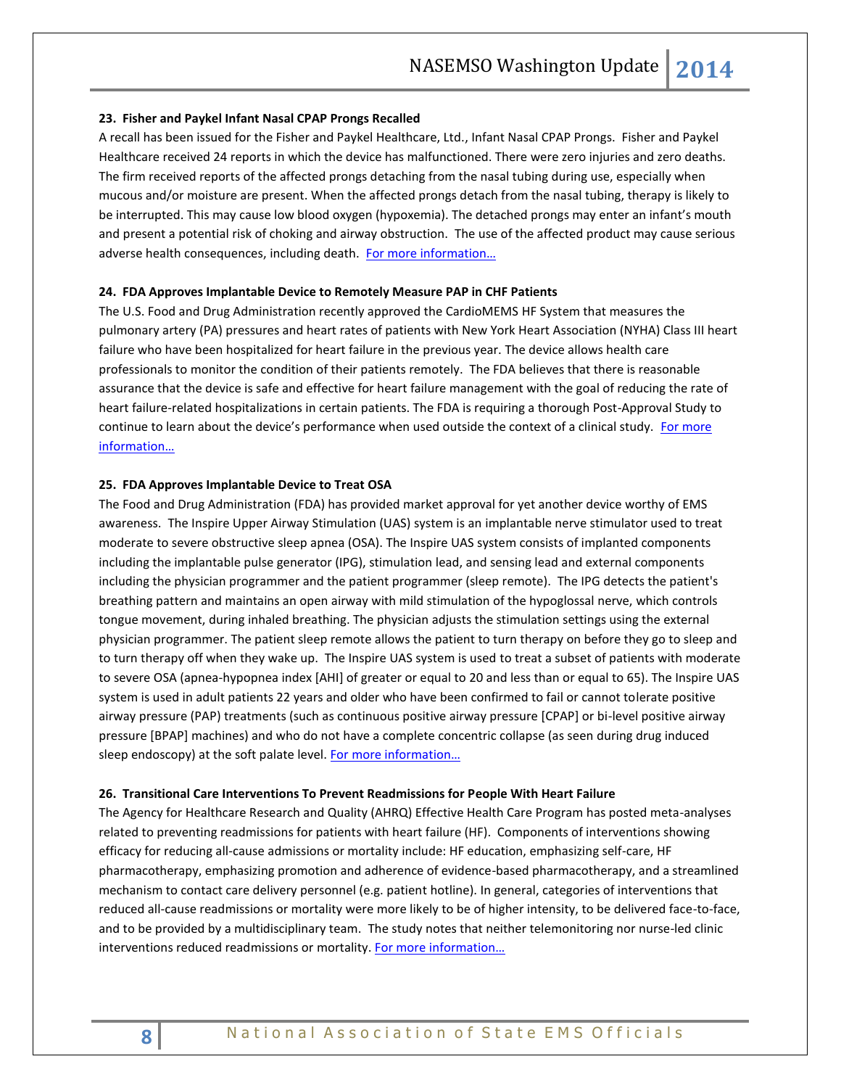#### **23. Fisher and Paykel Infant Nasal CPAP Prongs Recalled**

A recall has been issued for the Fisher and Paykel Healthcare, Ltd., Infant Nasal CPAP Prongs. Fisher and Paykel Healthcare received 24 reports in which the device has malfunctioned. There were zero injuries and zero deaths. The firm received reports of the affected prongs detaching from the nasal tubing during use, especially when mucous and/or moisture are present. When the affected prongs detach from the nasal tubing, therapy is likely to be interrupted. This may cause low blood oxygen (hypoxemia). The detached prongs may enter an infant's mouth and present a potential risk of choking and airway obstruction. The use of the affected product may cause serious adverse health consequences, including death. For more information...

## **24. FDA Approves Implantable Device to Remotely Measure PAP in CHF Patients**

The U.S. Food and Drug Administration recently approved the CardioMEMS HF System that measures the pulmonary artery (PA) pressures and heart rates of patients with New York Heart Association (NYHA) Class III heart failure who have been hospitalized for heart failure in the previous year. The device allows health care professionals to monitor the condition of their patients remotely. The FDA believes that there is reasonable assurance that the device is safe and effective for heart failure management with the goal of reducing the rate of heart failure-related hospitalizations in certain patients. The FDA is requiring a thorough Post-Approval Study to continue to learn about the device's performance when used outside the context of a clinical study. [For more](http://www.fda.gov/NewsEvents/Newsroom/PressAnnouncements/ucm399024.htm)  [information…](http://www.fda.gov/NewsEvents/Newsroom/PressAnnouncements/ucm399024.htm)

#### **25. FDA Approves Implantable Device to Treat OSA**

The Food and Drug Administration (FDA) has provided market approval for yet another device worthy of EMS awareness. The Inspire Upper Airway Stimulation (UAS) system is an implantable nerve stimulator used to treat moderate to severe obstructive sleep apnea (OSA). The Inspire UAS system consists of implanted components including the implantable pulse generator (IPG), stimulation lead, and sensing lead and external components including the physician programmer and the patient programmer (sleep remote). The IPG detects the patient's breathing pattern and maintains an open airway with mild stimulation of the hypoglossal nerve, which controls tongue movement, during inhaled breathing. The physician adjusts the stimulation settings using the external physician programmer. The patient sleep remote allows the patient to turn therapy on before they go to sleep and to turn therapy off when they wake up. The Inspire UAS system is used to treat a subset of patients with moderate to severe OSA (apnea-hypopnea index [AHI] of greater or equal to 20 and less than or equal to 65). The Inspire UAS system is used in adult patients 22 years and older who have been confirmed to fail or cannot tolerate positive airway pressure (PAP) treatments (such as continuous positive airway pressure [CPAP] or bi-level positive airway pressure [BPAP] machines) and who do not have a complete concentric collapse (as seen during drug induced sleep endoscopy) at the soft palate level. For more information...

#### **26. Transitional Care Interventions To Prevent Readmissions for People With Heart Failure**

The Agency for Healthcare Research and Quality (AHRQ) Effective Health Care Program has posted meta-analyses related to preventing readmissions for patients with heart failure (HF). Components of interventions showing efficacy for reducing all-cause admissions or mortality include: HF education, emphasizing self-care, HF pharmacotherapy, emphasizing promotion and adherence of evidence-based pharmacotherapy, and a streamlined mechanism to contact care delivery personnel (e.g. patient hotline). In general, categories of interventions that reduced all-cause readmissions or mortality were more likely to be of higher intensity, to be delivered face-to-face, and to be provided by a multidisciplinary team. The study notes that neither telemonitoring nor nurse-led clinic interventions reduced readmissions or mortality. For more information...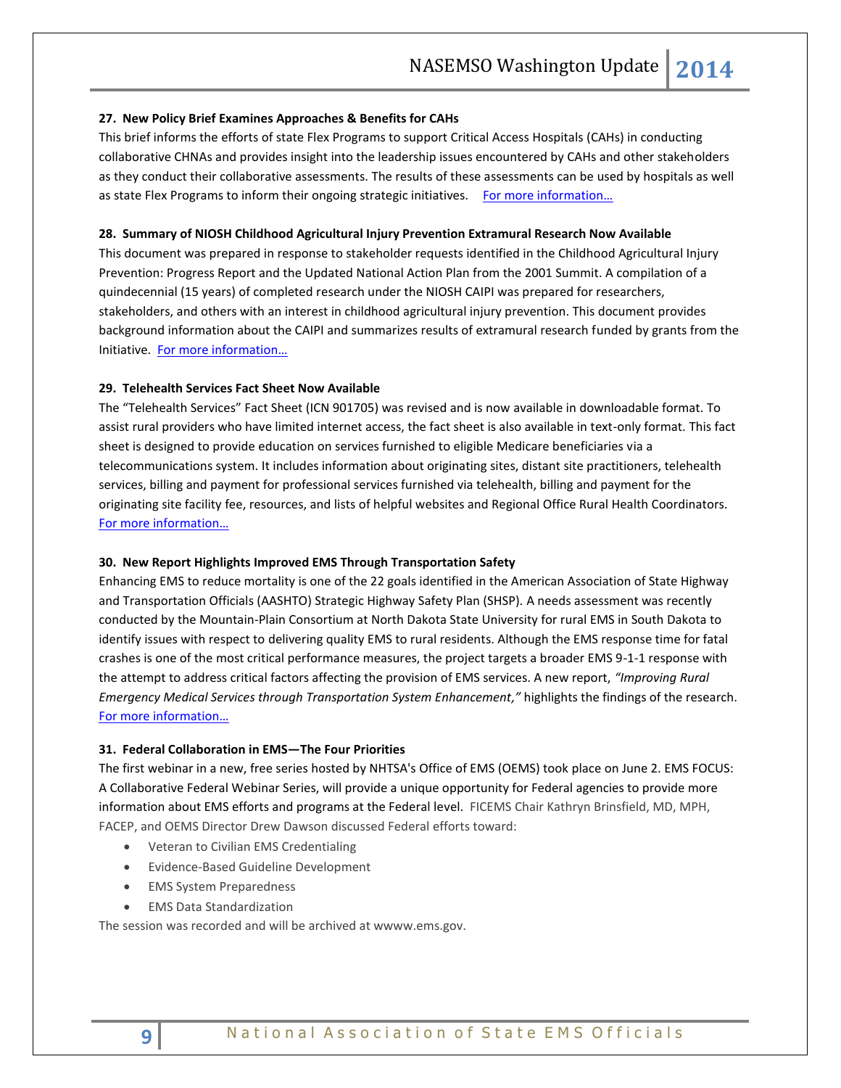#### **27. New Policy Brief Examines Approaches & Benefits for CAHs**

This brief informs the efforts of state Flex Programs to support Critical Access Hospitals (CAHs) in conducting collaborative CHNAs and provides insight into the leadership issues encountered by CAHs and other stakeholders as they conduct their collaborative assessments. The results of these assessments can be used by hospitals as well as state Flex Programs to inform their ongoing strategic initiatives. For more information...

#### **28. Summary of NIOSH Childhood Agricultural Injury Prevention Extramural Research Now Available**

This document was prepared in response to stakeholder requests identified in the Childhood Agricultural Injury Prevention: Progress Report and the Updated National Action Plan from the 2001 Summit. A compilation of a quindecennial (15 years) of completed research under the NIOSH CAIPI was prepared for researchers, stakeholders, and others with an interest in childhood agricultural injury prevention. This document provides background information about the CAIPI and summarizes results of extramural research funded by grants from the Initiative. [For more information…](http://www.cdc.gov/niosh/docs/2014-121/pdfs/2014-121.pdf)

#### **29. Telehealth Services Fact Sheet Now Available**

The "Telehealth Services" Fact Sheet (ICN 901705) was revised and is now available in downloadable format. To assist rural providers who have limited internet access, the fact sheet is also available in text-only format. This fact sheet is designed to provide education on services furnished to eligible Medicare beneficiaries via a telecommunications system. It includes information about originating sites, distant site practitioners, telehealth services, billing and payment for professional services furnished via telehealth, billing and payment for the originating site facility fee, resources, and lists of helpful websites and Regional Office Rural Health Coordinators. [For more information…](http://www.cms.gov/Outreach-and-Education/Medicare-Learning-Network-MLN/MLNProducts/Downloads/TelehealthSrvcsfctsht.pdf)

#### **30. New Report Highlights Improved EMS Through Transportation Safety**

Enhancing EMS to reduce mortality is one of the 22 goals identified in the American Association of State Highway and Transportation Officials (AASHTO) Strategic Highway Safety Plan (SHSP). A needs assessment was recently conducted by the Mountain-Plain Consortium at North Dakota State University for rural EMS in South Dakota to identify issues with respect to delivering quality EMS to rural residents. Although the EMS response time for fatal crashes is one of the most critical performance measures, the project targets a broader EMS 9-1-1 response with the attempt to address critical factors affecting the provision of EMS services. A new report, *"Improving Rural Emergency Medical Services through Transportation System Enhancement,"* highlights the findings of the research. [For more information…](http://www.mountain-plains.org/pubs/pdf/MPC14-267.pdf)

#### **31. Federal Collaboration in EMS—The Four Priorities**

The first webinar in a new, free series hosted by NHTSA's Office of EMS (OEMS) took place on June 2. EMS FOCUS: A Collaborative Federal Webinar Series, will provide a unique opportunity for Federal agencies to provide more information about EMS efforts and programs at the Federal level. FICEMS Chair Kathryn Brinsfield, MD, MPH, FACEP, and OEMS Director Drew Dawson discussed Federal efforts toward:

- Veteran to Civilian EMS Credentialing
- Evidence-Based Guideline Development
- EMS System Preparedness
- EMS Data Standardization

The session was recorded and will be archived at wwww.ems.gov.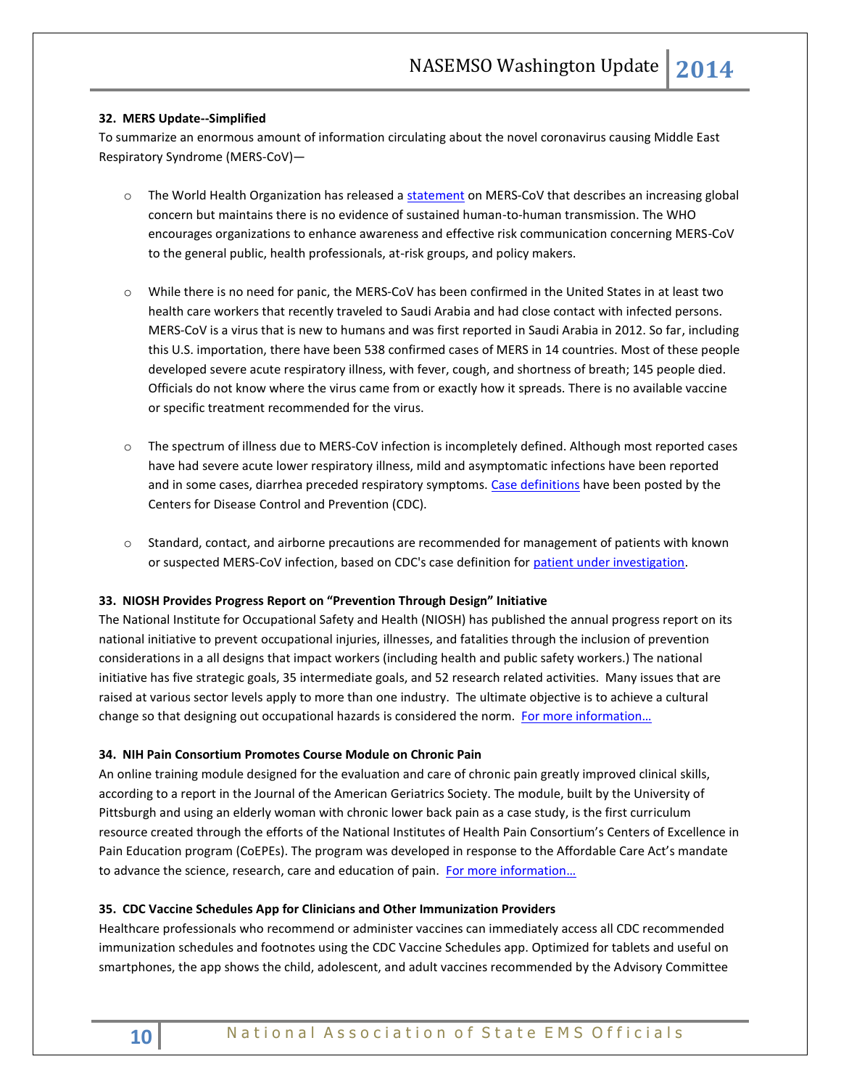# **32. MERS Update--Simplified**

To summarize an enormous amount of information circulating about the novel coronavirus causing Middle East Respiratory Syndrome (MERS-CoV)—

- o The World Health Organization has released [a statement](http://www.who.int/mediacentre/news/statements/2014/mers-20140514/en/) on MERS-CoV that describes an increasing global concern but maintains there is no evidence of sustained human-to-human transmission. The WHO encourages organizations to enhance awareness and effective risk communication concerning MERS-CoV to the general public, health professionals, at-risk groups, and policy makers.
- o While there is no need for panic, the MERS-CoV has been confirmed in the United States in at least two health care workers that recently traveled to Saudi Arabia and had close contact with infected persons. MERS-CoV is a virus that is new to humans and was first reported in Saudi Arabia in 2012. So far, including this U.S. importation, there have been 538 confirmed cases of MERS in 14 countries. Most of these people developed severe acute respiratory illness, with fever, cough, and shortness of breath; 145 people died. Officials do not know where the virus came from or exactly how it spreads. There is no available vaccine or specific treatment recommended for the virus.
- o The spectrum of illness due to MERS-CoV infection is incompletely defined. Although most reported cases have had severe acute lower respiratory illness, mild and asymptomatic infections have been reported and in some cases, diarrhea preceded respiratory symptoms[. Case definitions](http://www.cdc.gov/coronavirus/mers/case-def.html) have been posted by the Centers for Disease Control and Prevention (CDC).
- o Standard, contact, and airborne precautions are recommended for management of patients with known or suspected MERS-CoV infection, based on CDC's case definition fo[r patient under investigation.](http://www.cdc.gov/coronavirus/mers/case-def.html#pui)

## **33. NIOSH Provides Progress Report on "Prevention Through Design" Initiative**

The National Institute for Occupational Safety and Health (NIOSH) has published the annual progress report on its national initiative to prevent occupational injuries, illnesses, and fatalities through the inclusion of prevention considerations in a all designs that impact workers (including health and public safety workers.) The national initiative has five strategic goals, 35 intermediate goals, and 52 research related activities. Many issues that are raised at various sector levels apply to more than one industry. The ultimate objective is to achieve a cultural change so that designing out occupational hazards is considered the norm. For more information...

## **34. NIH Pain Consortium Promotes Course Module on Chronic Pain**

An online training module designed for the evaluation and care of chronic pain greatly improved clinical skills, according to a report in the Journal of the American Geriatrics Society. The module, built by the University of Pittsburgh and using an elderly woman with chronic lower back pain as a case study, is the first curriculum resource created through the efforts of the National Institutes of Health Pain Consortium's Centers of Excellence in Pain Education program (CoEPEs). The program was developed in response to the Affordable Care Act's mandate to advance the science, research, care and education of pain. [For more information…](http://www.nih.gov/news/health/may2014/nida-21.htm)

## **35. CDC Vaccine Schedules App for Clinicians and Other Immunization Providers**

Healthcare professionals who recommend or administer vaccines can immediately access all CDC recommended immunization schedules and footnotes using the CDC Vaccine Schedules app. Optimized for tablets and useful on smartphones, the app shows the child, adolescent, and adult vaccines recommended by the Advisory Committee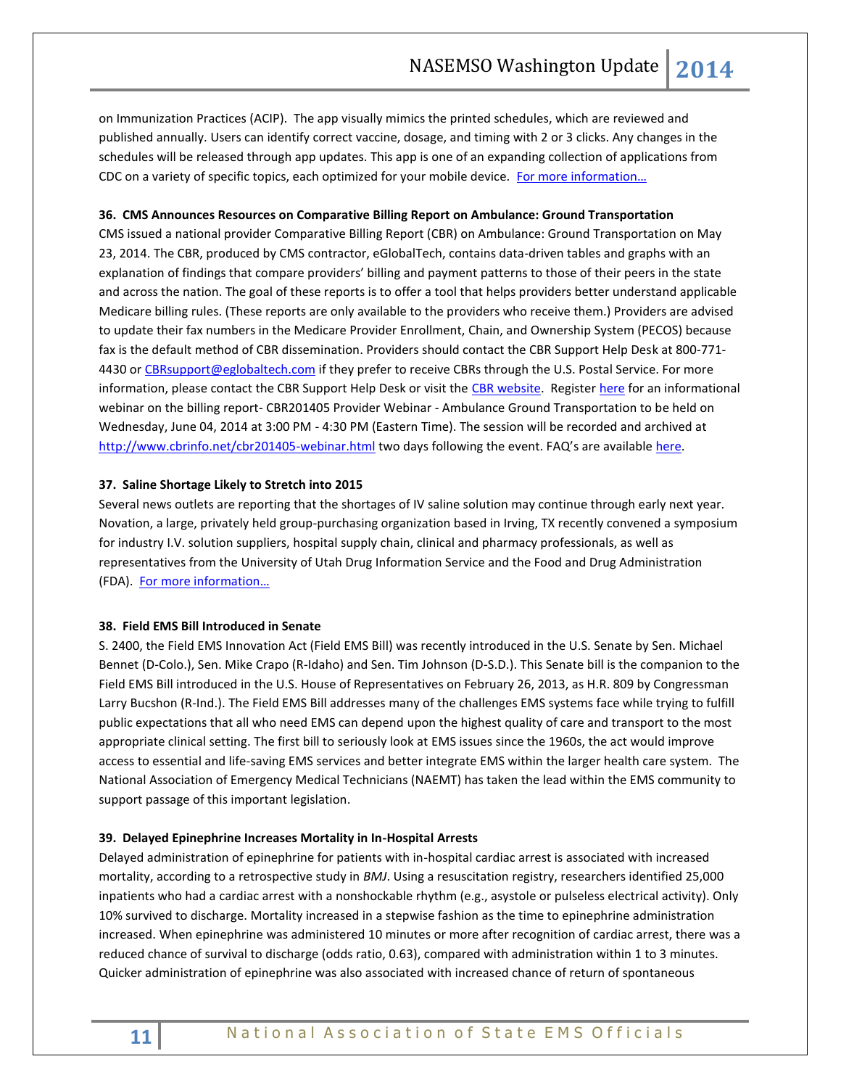on Immunization Practices [\(ACIP\)](http://www.cdc.gov/vaccines/acip/index.html). The app visually mimics the printed schedules, which are reviewed and published annually. Users can identify correct vaccine, dosage, and timing with 2 or 3 clicks. Any changes in the schedules will be released through app updates. This app is one of an expanding collection of applications from CDC on a variety of specific topics, each optimized for your mobile device. For more information...

#### **36. CMS Announces Resources on Comparative Billing Report on Ambulance: Ground Transportation**

CMS issued a national provider Comparative Billing Report (CBR) on Ambulance: Ground Transportation on May 23, 2014. The CBR, produced by CMS contractor, eGlobalTech, contains data-driven tables and graphs with an explanation of findings that compare providers' billing and payment patterns to those of their peers in the state and across the nation. The goal of these reports is to offer a tool that helps providers better understand applicable Medicare billing rules. (These reports are only available to the providers who receive them.) Providers are advised to update their fax numbers in the Medicare Provider Enrollment, Chain, and Ownership System (PECOS) because fax is the default method of CBR dissemination. Providers should contact the CBR Support Help Desk at 800-771- 4430 o[r CBRsupport@eglobaltech.com](mailto:CBRsupport@eglobaltech.com) if they prefer to receive CBRs through the U.S. Postal Service. For more information, please contact the CBR Support Help Desk or visit the [CBR website.](http://www.cbrinfo.net/) Registe[r here](https://www.anymeeting.com/AccountManager/RegEv.aspx?PIID=EA56DE85814639) for an informational webinar on the billing report- CBR201405 Provider Webinar - Ambulance Ground Transportation to be held on Wednesday, June 04, 2014 at 3:00 PM - 4:30 PM (Eastern Time). The session will be recorded and archived at <http://www.cbrinfo.net/cbr201405-webinar.html> two days following the event. FAQ's are available [here.](http://www.cbrinfo.net/cbr201405-faqs.html)

#### **37. Saline Shortage Likely to Stretch into 2015**

Several news outlets are reporting that the shortages of IV saline solution may continue through early next year. Novation, a large, privately held group-purchasing organization based in Irving, TX recently convened a symposium for industry I.V. solution suppliers, hospital supply chain, clinical and pharmacy professionals, as well as representatives from the University of Utah Drug Information Service and the Food and Drug Administration (FDA). [For more information…](http://healthcare.dmagazine.com/2014/05/14/saline-shortage-industry-wide-baxter-hospira-iv/)

#### **38. Field EMS Bill Introduced in Senate**

S. 2400, the Field EMS Innovation Act (Field EMS Bill) was recently introduced in the U.S. Senate by Sen. Michael Bennet (D-Colo.), Sen. Mike Crapo (R-Idaho) and Sen. Tim Johnson (D-S.D.). This Senate bill is the companion to the Field EMS Bill introduced in the U.S. House of Representatives on February 26, 2013, as H.R. 809 by Congressman Larry Bucshon (R-Ind.). The Field EMS Bill addresses many of the challenges EMS systems face while trying to fulfill public expectations that all who need EMS can depend upon the highest quality of care and transport to the most appropriate clinical setting. The first bill to seriously look at EMS issues since the 1960s, the act would improve access to essential and life-saving EMS services and better integrate EMS within the larger health care system. The National Association of Emergency Medical Technicians (NAEMT) has taken the lead within the EMS community to support passage of this important legislation.

## **39. Delayed Epinephrine Increases Mortality in In-Hospital Arrests**

Delayed administration of epinephrine for patients with in-hospital cardiac arrest is associated with increased mortality, according to a retrospective study in *BMJ*. Using a resuscitation registry, researchers identified 25,000 inpatients who had a cardiac arrest with a nonshockable rhythm (e.g., asystole or pulseless electrical activity). Only 10% survived to discharge. Mortality increased in a stepwise fashion as the time to epinephrine administration increased. When epinephrine was administered 10 minutes or more after recognition of cardiac arrest, there was a reduced chance of survival to discharge (odds ratio, 0.63), compared with administration within 1 to 3 minutes. Quicker administration of epinephrine was also associated with increased chance of return of spontaneous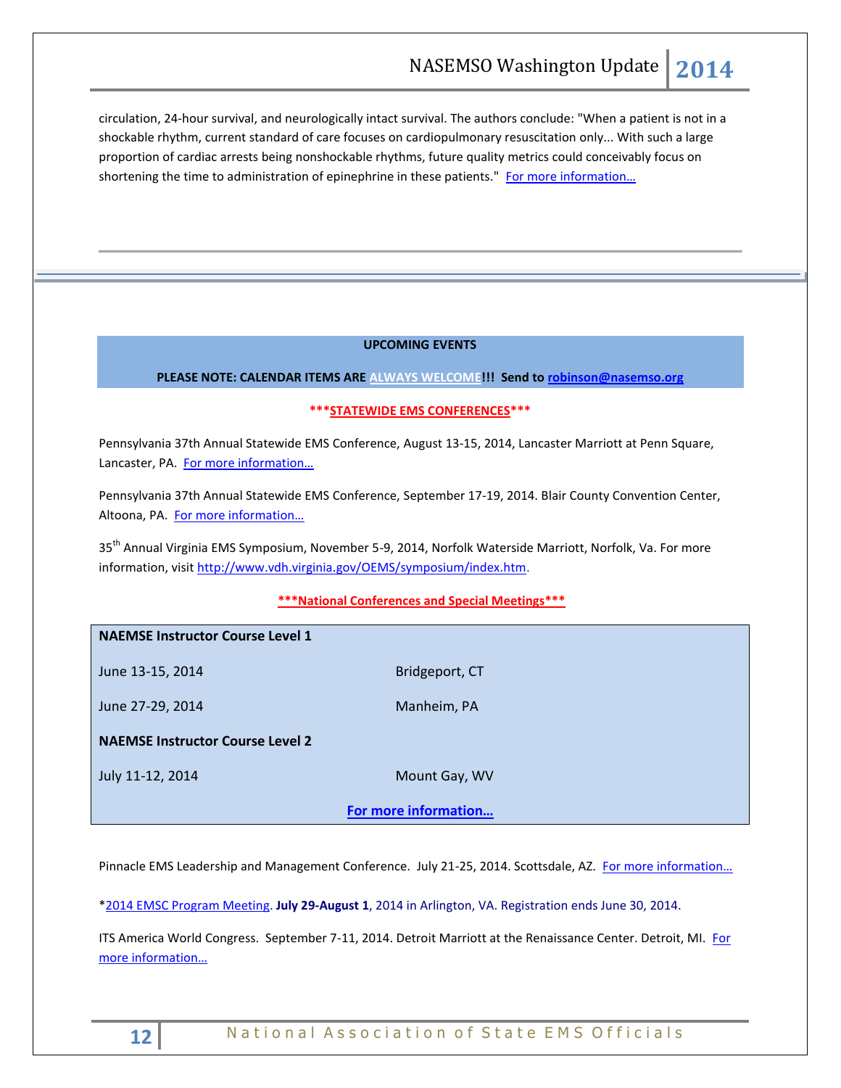circulation, 24-hour survival, and neurologically intact survival. The authors conclude: "When a patient is not in a shockable rhythm, current standard of care focuses on cardiopulmonary resuscitation only... With such a large proportion of cardiac arrests being nonshockable rhythms, future quality metrics could conceivably focus on shortening the time to administration of epinephrine in these patients." [For more inf](http://www.bmj.com/content/348/bmj.g3028?etoc=)ormation...

# **UPCOMING EVENTS**

# **PLEASE NOTE: CALENDAR ITEMS ARE ALWAYS WELCOME!!! Send t[o robinson@nasemso.org](mailto:robinson@nasemso.org)**

# **\*\*\*STATEWIDE EMS CONFERENCES\*\*\***

Pennsylvania 37th Annual Statewide EMS Conference, August 13-15, 2014, Lancaster Marriott at Penn Square, Lancaster, PA. [For more information…](http://www.pehsc.org/)

Pennsylvania 37th Annual Statewide EMS Conference, September 17-19, 2014. Blair County Convention Center, Altoona, PA. [For more information…](http://www.pehsc.org/)

35<sup>th</sup> Annual Virginia EMS Symposium, November 5-9, 2014, Norfolk Waterside Marriott, Norfolk, Va. For more information, visit [http://www.vdh.virginia.gov/OEMS/symposium/index.htm.](http://www.vdh.virginia.gov/OEMS/symposium/index.htm)

# **\*\*\*National Conferences and Special Meetings\*\*\***

| <b>NAEMSE Instructor Course Level 1</b> |                |
|-----------------------------------------|----------------|
| June 13-15, 2014                        | Bridgeport, CT |
| June 27-29, 2014                        | Manheim, PA    |
| <b>NAEMSE Instructor Course Level 2</b> |                |
| July 11-12, 2014                        | Mount Gay, WV  |
| For more information                    |                |

Pinnacle EMS Leadership and Management Conference. July 21-25, 2014. Scottsdale, AZ. [For more information…](http://pinnacle-ems.com/)

[\\*2014 EMSC Program Meeting.](http://r20.rs6.net/tn.jsp?f=0017a16rEY-faAxKJOwcxlWN0Jpa__xXnyjMO4Pf_T7mIwFs3lUIQXD7S9yBXjXfV5A-trOg_oi8XzodEBYN0EXBMoS8V5Sn3JoVTZtkZ3i7JCUuhNQQhfiOs27AAD3kX9i5poaD2Ldnh5_7M1ltsssP3I-aAOokuhzZRrT8DzFptQGJ3MBorjye-ChDoBfv2erR_YELZkB_0HXaM0Rh9y1mGSTwdYjy_Z2aGcbxGYvKPLazzWGWxrpUhBxlQeWhVxq-1JIKINzqccW2dbU9QvbzyynxB0Pi7lb7qFhEyPLbMe5B1FQv-0el9XQ9lwMvwiWW6YI4swPrh36berDtsVKsnfeQct13_6z-0IunVMhmCxlWvGmzakryX4r3kzMmIgPaWHSHAzF51aSBwdpSjnm0s467aCf_zVLeK0HAIYUyTVCwh6vmkst-omkAo-HRDXDIVea76PCZ7MeEYSKNddQ9RiUTbhX_6hYOfusdxlGqLTaLcPj1-iwsDMuGcycxdWkkjUWbbsb6sQ9x9Dv7slfPw==&c=II48-dM8ZHlh_LnaSX47VE6-1dgVbuOCMhyJx5Oi3Cl7QiDNfwC0vg==&ch=r2qhFC4qt5dHUhtMfeDD8_KDaTnahtsAYkNTsQ0wL_ozbainQdNpJQ==) **July 29-August 1**, 2014 in Arlington, VA. Registration ends June 30, 2014.

ITS America World Congress. September 7-11, 2014. Detroit Marriott at the Renaissance Center. Detroit, MI. [For](http://itsworldcongress.org/)  [more information…](http://itsworldcongress.org/)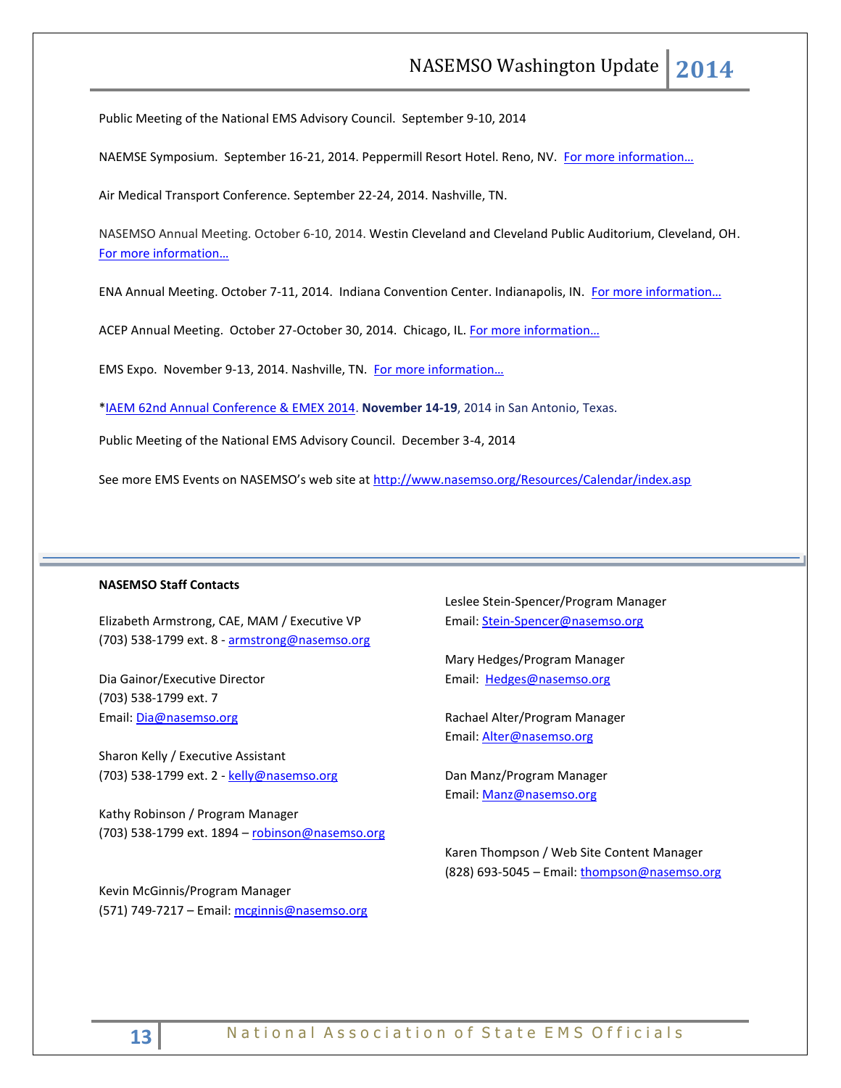Public Meeting of the National EMS Advisory Council. September 9-10, 2014

NAEMSE Symposium. September 16-21, 2014. Peppermill Resort Hotel. Reno, NV. For more information...

Air Medical Transport Conference. September 22-24, 2014. Nashville, TN.

NASEMSO Annual Meeting. October 6-10, 2014. Westin Cleveland and Cleveland Public Auditorium, Cleveland, OH. [For more information…](http://www.nasemso.org/Meetings/Annual/AnnualMeeting2014.asp)

ENA Annual Meeting. October 7-11, 2014. Indiana Convention Center. Indianapolis, IN. For more information...

ACEP Annual Meeting. October 27-October 30, 2014. Chicago, IL. For more information...

EMS Expo. November 9-13, 2014. Nashville, TN. For more information...

[\\*IAEM 62nd Annual Conference & EMEX 2014.](http://r20.rs6.net/tn.jsp?f=0017a16rEY-faAxKJOwcxlWN0Jpa__xXnyjMO4Pf_T7mIwFs3lUIQXD7ZGWHyXQVyvNTnwLThlXfS1UPKQRzF6qWPZ7VHEHLqgSDtV-qSJdKZG24eCnEWw9xpLPyJ0EY7SJl9-NsTtkMl0762iVcLqRH2ZTCfwAsnrdANYguu58E3lE3pgrzD-3l1J9cDg5Xw1DRhBnLuuT01QHd13Ru9uCItLOBJyXA6Vh&c=II48-dM8ZHlh_LnaSX47VE6-1dgVbuOCMhyJx5Oi3Cl7QiDNfwC0vg==&ch=r2qhFC4qt5dHUhtMfeDD8_KDaTnahtsAYkNTsQ0wL_ozbainQdNpJQ==) **November 14-19**, 2014 in San Antonio, Texas.

Public Meeting of the National EMS Advisory Council. December 3-4, 2014

See more EMS Events on NASEMSO's web site at <http://www.nasemso.org/Resources/Calendar/index.asp>

## **NASEMSO Staff Contacts**

Elizabeth Armstrong, CAE, MAM / Executive VP (703) 538-1799 ext. 8 - [armstrong@nasemso.org](mailto:armstrong@nasemso.org)

Dia Gainor/Executive Director (703) 538-1799 ext. 7 Email: [Dia@nasemso.org](mailto:Dia@nasemso.org)

Sharon Kelly / Executive Assistant (703) 538-1799 ext. 2 - [kelly@nasemso.org](mailto:kelly@nasemso.org)

Kathy Robinson / Program Manager (703) 538-1799 ext. 1894 – [robinson@nasemso.org](mailto:robinson@nasemso.org)

Kevin McGinnis/Program Manager (571) 749-7217 - Email: [mcginnis@nasemso.org](mailto:mcginnis@nasemso.org) Leslee Stein-Spencer/Program Manager Email: [Stein-Spencer@nasemso.org](mailto:Stein-Spencer@nasemso.org)

Mary Hedges/Program Manager Email: [Hedges@nasemso.org](mailto:Hedges@nasemso.org)

Rachael Alter/Program Manager Email: [Alter@nasemso.org](mailto:Alter@nasemso.org) 

Dan Manz/Program Manager Email: [Manz@nasemso.org](mailto:Manz@nasemso.org)

Karen Thompson / Web Site Content Manager (828) 693-5045 - Email: [thompson@nasemso.org](mailto:thompson@nasemso.org)